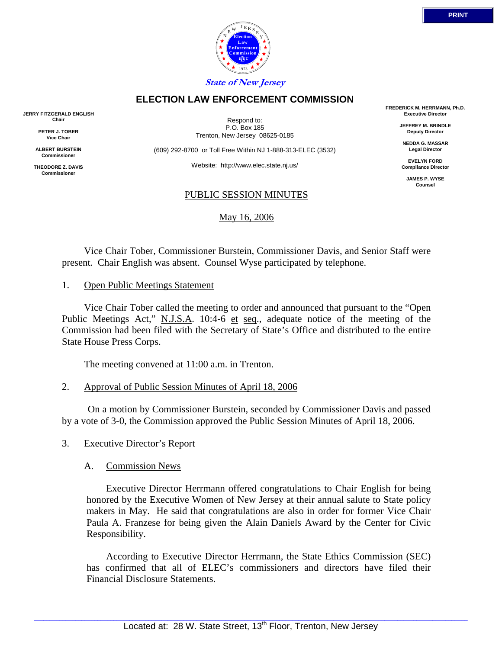

**State of New Jersey**

## **ELECTION LAW ENFORCEMENT COMMISSION**

**JERRY FITZGERALD ENGLISH Chair**

> **PETER J. TOBER Vice Chair**

**ALBERT BURSTEIN Commissioner** 

**THEODORE Z. DAVIS Commissione** 

Respond to: P.O. Box 185 Trenton, New Jersey 08625-0185

(609) 292-8700 or Toll Free Within NJ 1-888-313-ELEC (3532)

Website: http://www.elec.state.nj.us/

### PUBLIC SESSION MINUTES

### May 16, 2006

**FREDERICK M. HERRMANN, Ph.D. Executive Director**

> **JEFFREY M. BRINDLE Deputy Director**

**NEDDA G. MASSAR Legal Director**

**EVELYN FORD Compliance Director**

> **JAMES P. WYSE Counsel**

 Vice Chair Tober, Commissioner Burstein, Commissioner Davis, and Senior Staff were present. Chair English was absent. Counsel Wyse participated by telephone.

1. Open Public Meetings Statement

 Vice Chair Tober called the meeting to order and announced that pursuant to the "Open Public Meetings Act," N.J.S.A. 10:4-6 et seq., adequate notice of the meeting of the Commission had been filed with the Secretary of State's Office and distributed to the entire State House Press Corps.

The meeting convened at 11:00 a.m. in Trenton.

2. Approval of Public Session Minutes of April 18, 2006

 On a motion by Commissioner Burstein, seconded by Commissioner Davis and passed by a vote of 3-0, the Commission approved the Public Session Minutes of April 18, 2006.

3. Executive Director's Report

## A. Commission News

 Executive Director Herrmann offered congratulations to Chair English for being honored by the Executive Women of New Jersey at their annual salute to State policy makers in May. He said that congratulations are also in order for former Vice Chair Paula A. Franzese for being given the Alain Daniels Award by the Center for Civic Responsibility.

 According to Executive Director Herrmann, the State Ethics Commission (SEC) has confirmed that all of ELEC's commissioners and directors have filed their Financial Disclosure Statements.

**PRINT**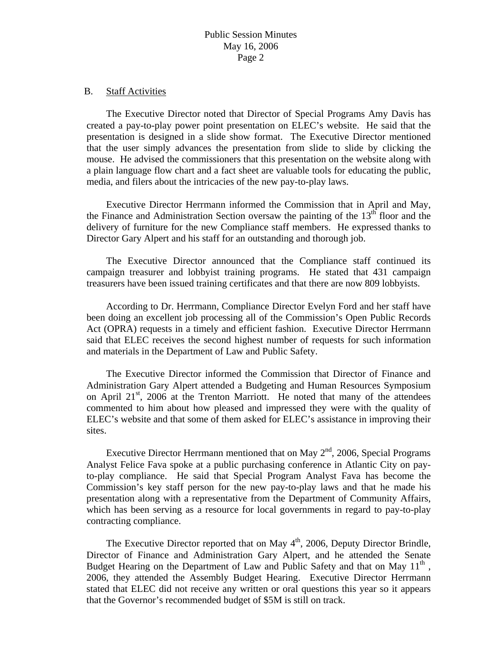#### B. Staff Activities

 The Executive Director noted that Director of Special Programs Amy Davis has created a pay-to-play power point presentation on ELEC's website. He said that the presentation is designed in a slide show format. The Executive Director mentioned that the user simply advances the presentation from slide to slide by clicking the mouse. He advised the commissioners that this presentation on the website along with a plain language flow chart and a fact sheet are valuable tools for educating the public, media, and filers about the intricacies of the new pay-to-play laws.

 Executive Director Herrmann informed the Commission that in April and May, the Finance and Administration Section oversaw the painting of the  $13<sup>th</sup>$  floor and the delivery of furniture for the new Compliance staff members. He expressed thanks to Director Gary Alpert and his staff for an outstanding and thorough job.

 The Executive Director announced that the Compliance staff continued its campaign treasurer and lobbyist training programs. He stated that 431 campaign treasurers have been issued training certificates and that there are now 809 lobbyists.

 According to Dr. Herrmann, Compliance Director Evelyn Ford and her staff have been doing an excellent job processing all of the Commission's Open Public Records Act (OPRA) requests in a timely and efficient fashion. Executive Director Herrmann said that ELEC receives the second highest number of requests for such information and materials in the Department of Law and Public Safety.

 The Executive Director informed the Commission that Director of Finance and Administration Gary Alpert attended a Budgeting and Human Resources Symposium on April  $21^{st}$ , 2006 at the Trenton Marriott. He noted that many of the attendees commented to him about how pleased and impressed they were with the quality of ELEC's website and that some of them asked for ELEC's assistance in improving their sites.

Executive Director Herrmann mentioned that on May  $2<sup>nd</sup>$ , 2006, Special Programs Analyst Felice Fava spoke at a public purchasing conference in Atlantic City on payto-play compliance. He said that Special Program Analyst Fava has become the Commission's key staff person for the new pay-to-play laws and that he made his presentation along with a representative from the Department of Community Affairs, which has been serving as a resource for local governments in regard to pay-to-play contracting compliance.

The Executive Director reported that on May  $4<sup>th</sup>$ , 2006, Deputy Director Brindle, Director of Finance and Administration Gary Alpert, and he attended the Senate Budget Hearing on the Department of Law and Public Safety and that on May  $11<sup>th</sup>$ , 2006, they attended the Assembly Budget Hearing. Executive Director Herrmann stated that ELEC did not receive any written or oral questions this year so it appears that the Governor's recommended budget of \$5M is still on track.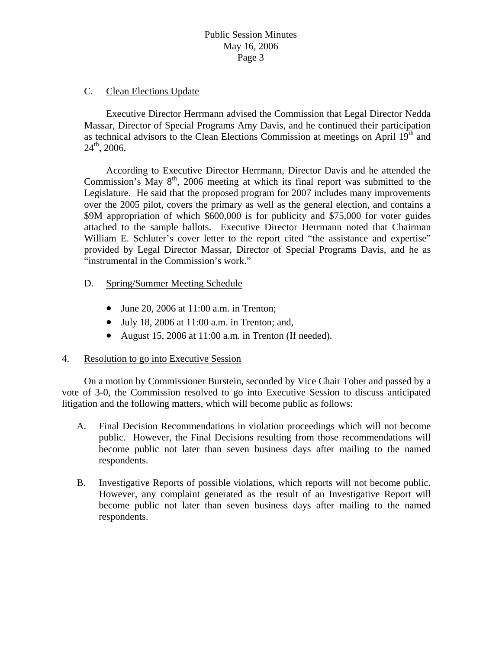## C. Clean Elections Update

 Executive Director Herrmann advised the Commission that Legal Director Nedda Massar, Director of Special Programs Amy Davis, and he continued their participation as technical advisors to the Clean Elections Commission at meetings on April  $19<sup>th</sup>$  and  $24<sup>th</sup>$ , 2006.

 According to Executive Director Herrmann, Director Davis and he attended the Commission's May  $8<sup>th</sup>$ , 2006 meeting at which its final report was submitted to the Legislature. He said that the proposed program for 2007 includes many improvements over the 2005 pilot, covers the primary as well as the general election, and contains a \$9M appropriation of which \$600,000 is for publicity and \$75,000 for voter guides attached to the sample ballots. Executive Director Herrmann noted that Chairman William E. Schluter's cover letter to the report cited "the assistance and expertise" provided by Legal Director Massar, Director of Special Programs Davis, and he as "instrumental in the Commission's work."

- D. Spring/Summer Meeting Schedule
	- June 20, 2006 at 11:00 a.m. in Trenton;
	- July 18, 2006 at 11:00 a.m. in Trenton; and,
	- August 15, 2006 at 11:00 a.m. in Trenton (If needed).

## 4. Resolution to go into Executive Session

 On a motion by Commissioner Burstein, seconded by Vice Chair Tober and passed by a vote of 3-0, the Commission resolved to go into Executive Session to discuss anticipated litigation and the following matters, which will become public as follows:

- A. Final Decision Recommendations in violation proceedings which will not become public. However, the Final Decisions resulting from those recommendations will become public not later than seven business days after mailing to the named respondents.
- B. Investigative Reports of possible violations, which reports will not become public. However, any complaint generated as the result of an Investigative Report will become public not later than seven business days after mailing to the named respondents.